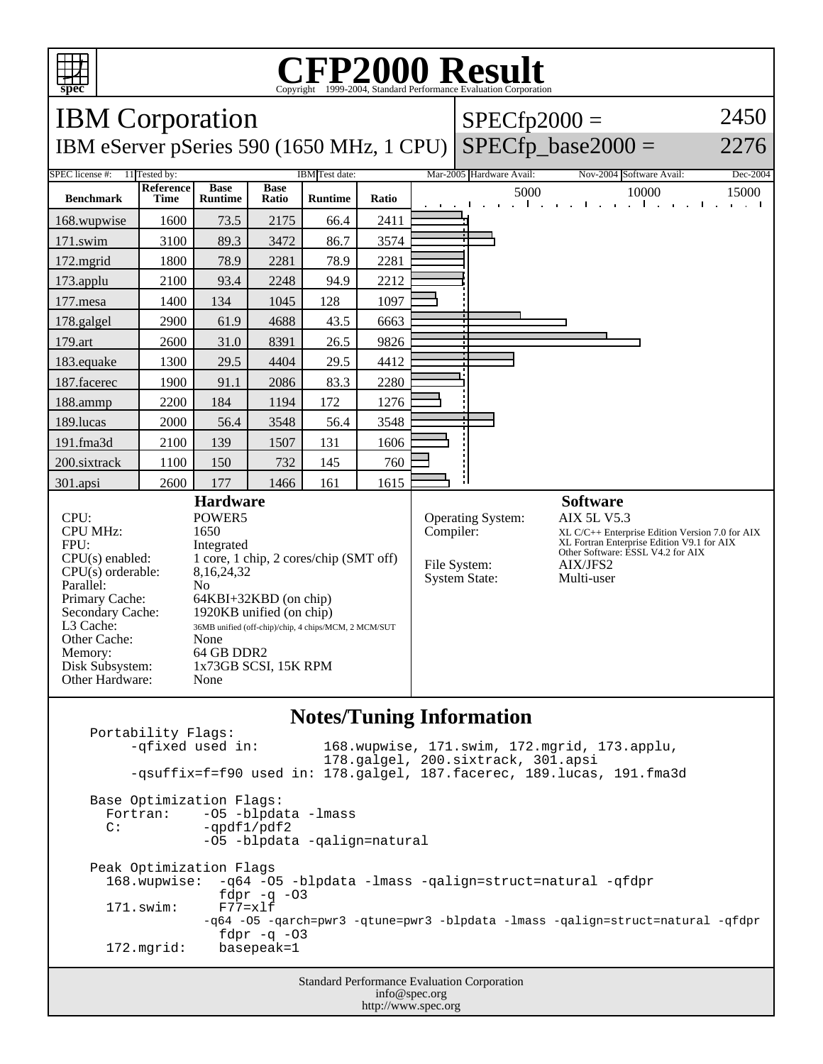

## **CFP2000 Result** Copyright 1999-2004, Standard Performance Evaluation Corporation

IBM Corporation IBM eServer pSeries 590 (1650 MHz, 1 CPU)  $SPECfp2000 =$  $SPECfp\_base2000 =$ 2450 2276 SPEC license #: 11 Tested by: IBM Test date: Mar-2005 Hardware Avail: Nov-2004 Software Avail: Dec-2004 **Benchmark Reference Time Base Runtime Base Ratio Runtime Ratio** 5000 10000 15000 168.wupwise 1600 73.5 2175 66.4 2411 171.swim | 3100 | 89.3 | 3472 | 86.7 | 3574 172.mgrid | 1800 | 78.9 | 2281 | 78.9 | 2281 173.applu | 2100 | 93.4 | 2248 | 94.9 | 2212 177.mesa | 1400 | 134 | 1045 | 128 | 1097 178.galgel | 2900 | 61.9 | 4688 | 43.5 | 6663 179.art | 2600 | 31.0 | 8391 | 26.5 | 9826 183.equake 1300 29.5 4404 29.5 4412 187.facerec | 1900 | 91.1 | 2086 | 83.3 | 2280 188.ammp | 2200 | 184 | 1194 | 172 | 1276 189.lucas | 2000 | 56.4 | 3548 | 56.4 | 3548 191.fma3d | 2100 | 139 | 1507 | 131 | 1606 200.sixtrack 1100 150 732 145 760 301.apsi | 2600 | 177 | 1466 | 161 | 1615 **Hardware** CPU: POWER5<br>
CPU MHz: 1650 CPU MHz: FPU: Integrated  $CPU(s)$  enabled:  $1 core, 1 chip, 2 cores/chip (SMT off)$ <br> $CPU(s)$  orderable:  $8,16,24,32$  $CPU(s)$  orderable: Parallel: No Primary Cache: 64KBI+32KBD (on chip) Secondary Cache: 1920KB unified (on chip) L3 Cache: 36MB unified (off-chip)/chip, 4 chips/MCM, 2 MCM/SUT Other Cache: None Memory: 64 GB DDR2 Disk Subsystem: 1x73GB SCSI, 15K RPM Other Hardware: None **Software** Operating System: AIX 5L V5.3 Compiler: XL C/C++ Enterprise Edition Version 7.0 for AIX XL Fortran Enterprise Edition V9.1 for AIX Other Software: ESSL V4.2 for AIX File System: AIX/JFS2<br>System State: Multi-user System State:

## **Notes/Tuning Information**

Portability Flags:<br>-qfixed used in: 168.wupwise, 171.swim, 172.mgrid, 173.applu, 178.galgel, 200.sixtrack, 301.apsi -qsuffix=f=f90 used in: 178.galgel, 187.facerec, 189.lucas, 191.fma3d Base Optimization Flags: Fortran: -05 -blpdata -lmass<br>C: -ordf1/pdf2 -qpdf1/pdf2 -O5 -blpdata -qalign=natural Peak Optimization Flags 168.wupwise: -q64 -O5 -blpdata -lmass -qalign=struct=natural -qfdpr fdpr -q -O3  $171$ .swim: -q64 -O5 -qarch=pwr3 -qtune=pwr3 -blpdata -lmass -qalign=struct=natural -qfdpr fd $pr$  -q -03 172.mgrid: basepeak=1

> Standard Performance Evaluation Corporation info@spec.org http://www.spec.org